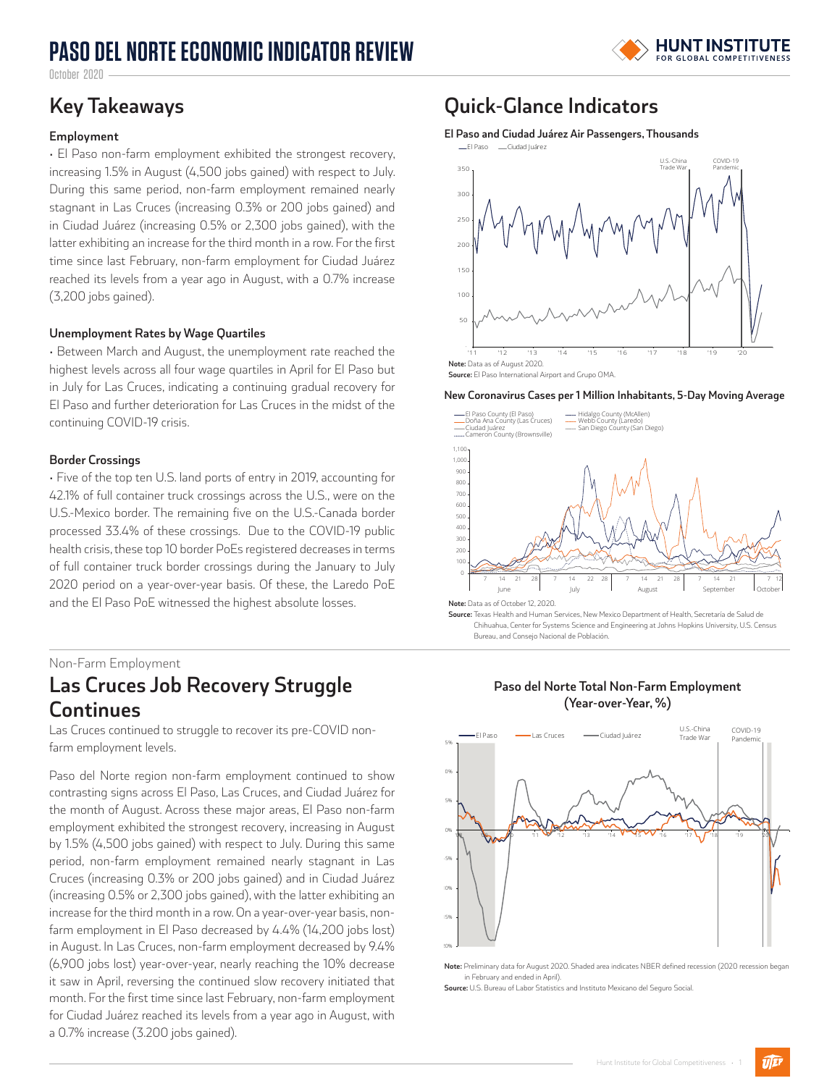# **PASO DEL NORTE ECONOMIC INDICATOR REVIEW**



October 2020

### **Employment**

• El Paso non-farm employment exhibited the strongest recovery, increasing 1.5% in August (4,500 jobs gained) with respect to July. During this same period, non-farm employment remained nearly stagnant in Las Cruces (increasing 0.3% or 200 jobs gained) and in Ciudad Juárez (increasing 0.5% or 2,300 jobs gained), with the latter exhibiting an increase for the third month in a row. For the first time since last February, non-farm employment for Ciudad Juárez reached its levels from a year ago in August, with a 0.7% increase (3,200 jobs gained).

### **Unemployment Rates by Wage Quartiles**

• Between March and August, the unemployment rate reached the highest levels across all four wage quartiles in April for El Paso but in July for Las Cruces, indicating a continuing gradual recovery for El Paso and further deterioration for Las Cruces in the midst of the continuing COVID-19 crisis.

### **Border Crossings**

• Five of the top ten U.S. land ports of entry in 2019, accounting for 42.1% of full container truck crossings across the U.S., were on the U.S.-Mexico border. The remaining five on the U.S.-Canada border processed 33.4% of these crossings. Due to the COVID-19 public health crisis, these top 10 border PoEs registered decreases in terms of full container truck border crossings during the January to July 2020 period on a year-over-year basis. Of these, the Laredo PoE and the El Paso PoE witnessed the highest absolute losses.

### Non-Farm Employment

### **Las Cruces Job Recovery Struggle Continues**

Las Cruces continued to struggle to recover its pre-COVID nonfarm employment levels.

Paso del Norte region non-farm employment continued to show contrasting signs across El Paso, Las Cruces, and Ciudad Juárez for the month of August. Across these major areas, El Paso non-farm employment exhibited the strongest recovery, increasing in August by 1.5% (4,500 jobs gained) with respect to July. During this same period, non-farm employment remained nearly stagnant in Las Cruces (increasing 0.3% or 200 jobs gained) and in Ciudad Juárez (increasing 0.5% or 2,300 jobs gained), with the latter exhibiting an increase for the third month in a row. On a year-over-year basis, nonfarm employment in El Paso decreased by 4.4% (14,200 jobs lost) in August. In Las Cruces, non-farm employment decreased by 9.4% (6,900 jobs lost) year-over-year, nearly reaching the 10% decrease it saw in April, reversing the continued slow recovery initiated that month. For the first time since last February, non-farm employment for Ciudad Juárez reached its levels from a year ago in August, with a 0.7% increase (3.200 jobs gained).

## **Key Takeaways Quick-Glance Indicators**

**El Paso and Ciudad Juárez Air Passengers, Thousands**



#### **New Coronavirus Cases per 1 Million Inhabitants, 5-Day Moving Average**



**Source:** Texas Health and Human Services, New Mexico Department of Health, Secretaría de Salud de Chihuahua, Center for Systems Science and Engineering at Johns Hopkins University, U.S. Census Bureau, and Consejo Nacional de Población.

### **Paso del Norte Total Non-Farm Employment (Year-over-Year, %)**



**Note:** Preliminary data for August 2020. Shaded area indicates NBER defined recession (2020 recession began in February and ended in April).

**Source:** U.S. Bureau of Labor Statistics and Instituto Mexicano del Seguro Social.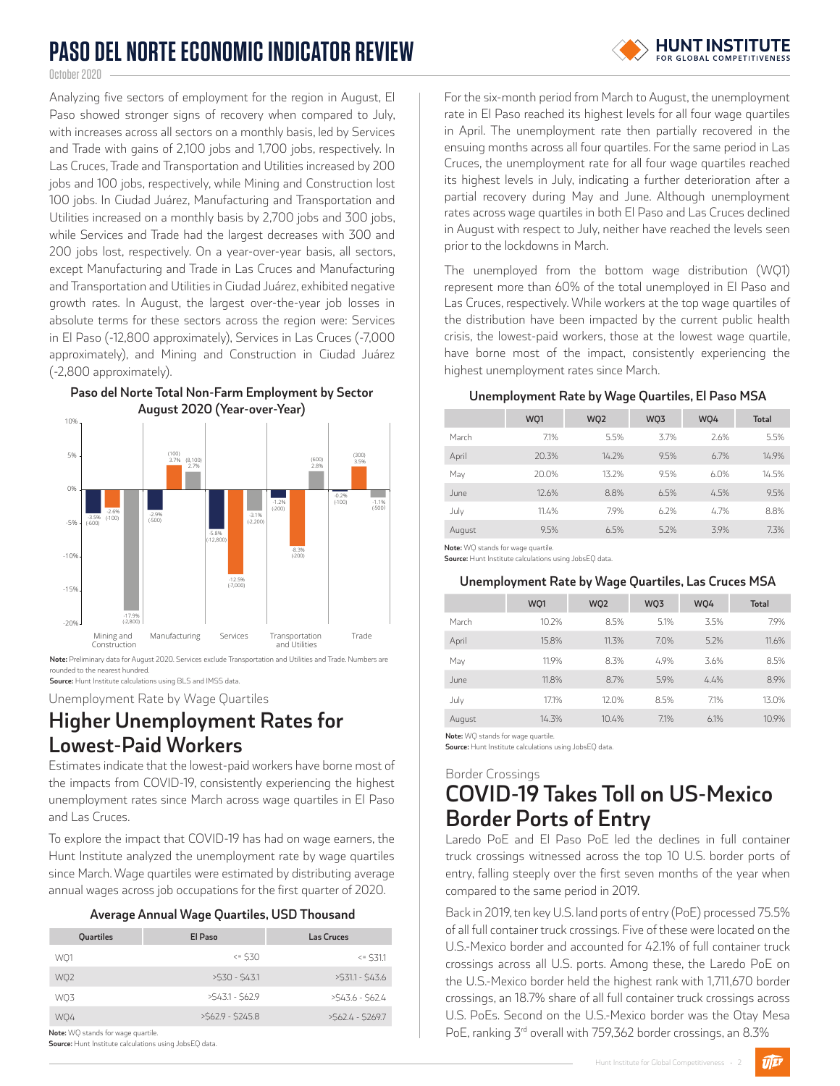# **PASO DEL NORTE ECONOMIC INDICATOR REVIEW**

October 2020

Analyzing five sectors of employment for the region in August, El Paso showed stronger signs of recovery when compared to July, with increases across all sectors on a monthly basis, led by Services and Trade with gains of 2,100 jobs and 1,700 jobs, respectively. In Las Cruces, Trade and Transportation and Utilities increased by 200 jobs and 100 jobs, respectively, while Mining and Construction lost 100 jobs. In Ciudad Juárez, Manufacturing and Transportation and Utilities increased on a monthly basis by 2,700 jobs and 300 jobs, while Services and Trade had the largest decreases with 300 and 200 jobs lost, respectively. On a year-over-year basis, all sectors, except Manufacturing and Trade in Las Cruces and Manufacturing and Transportation and Utilities in Ciudad Juárez, exhibited negative growth rates. In August, the largest over-the-year job losses in absolute terms for these sectors across the region were: Services in El Paso (-12,800 approximately), Services in Las Cruces (-7,000 approximately), and Mining and Construction in Ciudad Juárez (-2,800 approximately).



**Note:** Preliminary data for August 2020. Services exclude Transportation and Utilities and Trade. Numbers are rounded to the nearest hundred.

**Source:** Hunt Institute calculations using BLS and IMSS data.

Unemployment Rate by Wage Quartiles

# **Higher Unemployment Rates for Lowest-Paid Workers**

Estimates indicate that the lowest-paid workers have borne most of the impacts from COVID-19, consistently experiencing the highest unemployment rates since March across wage quartiles in El Paso and Las Cruces.

To explore the impact that COVID-19 has had on wage earners, the Hunt Institute analyzed the unemployment rate by wage quartiles since March. Wage quartiles were estimated by distributing average annual wages across job occupations for the first quarter of 2020.

|  | Average Annual Wage Quartiles, USD Thousand |  |
|--|---------------------------------------------|--|
|  |                                             |  |

| -         |                   |                   |
|-----------|-------------------|-------------------|
| Quartiles | El Paso           | Las Cruces        |
| WO1       | $<$ 530           | $<=$ \$31.1       |
| WQ2       | $>530 - 543.1$    | $>531.1 - 543.6$  |
| WQ3       | $>543.1 - 562.9$  | $>543.6 - 562.4$  |
| WQ4       | $>562.9 - 5245.8$ | $>562.4 - 5269.7$ |

**Note:** WO stands for wage quartile.

**Source:** Hunt Institute calculations using JobsEQ data.

**Paso del Norte Total Non-Farm Employment by Sector** 

For the six-month period from March to August, the unemployment rate in El Paso reached its highest levels for all four wage quartiles in April. The unemployment rate then partially recovered in the ensuing months across all four quartiles. For the same period in Las Cruces, the unemployment rate for all four wage quartiles reached its highest levels in July, indicating a further deterioration after a partial recovery during May and June. Although unemployment rates across wage quartiles in both El Paso and Las Cruces declined in August with respect to July, neither have reached the levels seen prior to the lockdowns in March.

The unemployed from the bottom wage distribution (WQ1) represent more than 60% of the total unemployed in El Paso and Las Cruces, respectively. While workers at the top wage quartiles of the distribution have been impacted by the current public health crisis, the lowest-paid workers, those at the lowest wage quartile, have borne most of the impact, consistently experiencing the highest unemployment rates since March.

### **Unemployment Rate by Wage Quartiles, El Paso MSA**

|        | WQ1   | WQ <sub>2</sub> | WQ3  | WQ4  | <b>Total</b> |
|--------|-------|-----------------|------|------|--------------|
| March  | 7.1%  | 5.5%            | 3.7% | 7.6% | 5.5%         |
| April  | 20.3% | 14.2%           | 9.5% | 6.7% | 14.9%        |
| May    | 20.0% | 13.2%           | 9.5% | 6.0% | 14.5%        |
| June   | 12.6% | 8.8%            | 6.5% | 4.5% | 9.5%         |
| July   | 11.4% | 7.9%            | 6.2% | 4.7% | 8.8%         |
| August | 9.5%  | 6.5%            | 5.2% | 3.9% | 7.3%         |

**Note:** WQ stands for wage quartile. **Source:** Hunt Institute calculations using JobsEQ data.

### **Unemployment Rate by Wage Quartiles, Las Cruces MSA**

|        | WQ1   | WQ <sub>2</sub> | WQ3  | WQ4  | <b>Total</b> |
|--------|-------|-----------------|------|------|--------------|
| March  | 10.2% | 8.5%            | 5.1% | 3.5% | 7.9%         |
| April  | 15.8% | 11.3%           | 7.0% | 5.2% | 11.6%        |
| May    | 11.9% | 8.3%            | 4.9% | 3.6% | 8.5%         |
| June   | 11.8% | 8.7%            | 5.9% | 4.4% | 8.9%         |
| July   | 17.1% | 12.0%           | 8.5% | 7.1% | 13.0%        |
| August | 14.3% | 10.4%           | 7.1% | 6.1% | 10.9%        |

**Note:** WO stands for wage quartile.

**Source:** Hunt Institute calculations using JobsEQ data.

### Border Crossings **COVID-19 Takes Toll on US-Mexico Border Ports of Entry**

Laredo PoE and El Paso PoE led the declines in full container truck crossings witnessed across the top 10 U.S. border ports of entry, falling steeply over the first seven months of the year when compared to the same period in 2019.

Back in 2019, ten key U.S. land ports of entry (PoE) processed 75.5% of all full container truck crossings. Five of these were located on the U.S.-Mexico border and accounted for 42.1% of full container truck crossings across all U.S. ports. Among these, the Laredo PoE on the U.S.-Mexico border held the highest rank with 1,711,670 border crossings, an 18.7% share of all full container truck crossings across U.S. PoEs. Second on the U.S.-Mexico border was the Otay Mesa PoE, ranking 3<sup>rd</sup> overall with 759,362 border crossings, an 8.3%